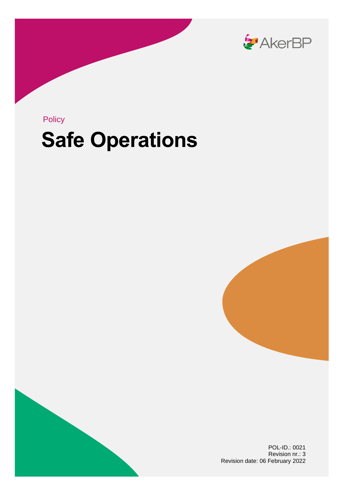

## **Safe Operations** Policy





POL-ID.: 0021 Revision nr.: 3 Revision date: 06 February 2022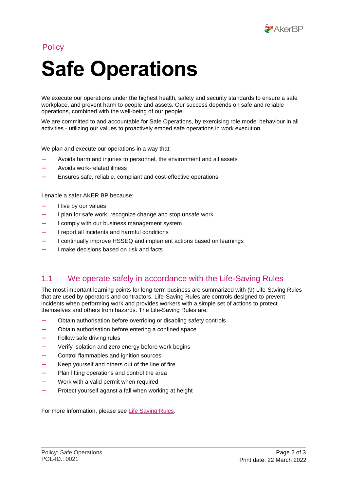

**Policy** 

## **Safe Operations**

We execute our operations under the highest health, safety and security standards to ensure a safe workplace, and prevent harm to people and assets. Our success depends on safe and reliable operations, combined with the well-being of our people.

We are committed to and accountable for Safe Operations, by exercising role model behaviour in all activities - utilizing our values to proactively embed safe operations in work execution.

We plan and execute our operations in a way that:

- Avoids harm and injuries to personnel, the environment and all assets
- Avoids work-related illness
- Ensures safe, reliable, compliant and cost-effective operations

I enable a safer AKER BP because:

- I live by our values
- I plan for safe work, recognize change and stop unsafe work
- I comply with our business management system
- I report all incidents and harmful conditions
- I continually improve HSSEQ and implement actions based on learnings
- I make decisions based on risk and facts

## 1.1 We operate safely in accordance with the Life-Saving Rules

The most important learning points for long-term business are summarized with (9) Life-Saving Rules that are used by operators and contractors. Life-Saving Rules are controls designed to prevent incidents when performing work and provides workers with a simple set of actions to protect themselves and others from hazards. The Life-Saving Rules are:

- Obtain authorisation before overriding or disabling safety controls
- Obtain authorisation before entering a confined space
- Follow safe driving rules
- Verify isolation and zero energy before work begins
- Control flammables and ignition sources
- Keep yourself and others out of the line of fire
- Plan lifting operations and control the area
- Work with a valid permit when required
- Protect yourself aganst a fall when working at height

For more information, please see [Life Saving Rules.](https://livreddenderegler.no/)